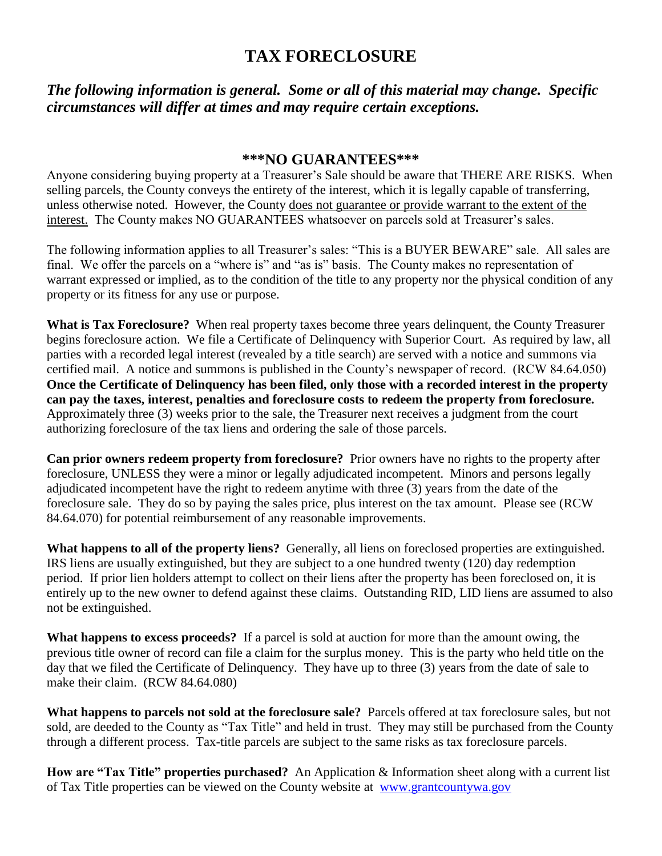# **TAX FORECLOSURE**

*The following information is general. Some or all of this material may change. Specific circumstances will differ at times and may require certain exceptions.*

### **\*\*\*NO GUARANTEES\*\*\***

Anyone considering buying property at a Treasurer's Sale should be aware that THERE ARE RISKS. When selling parcels, the County conveys the entirety of the interest, which it is legally capable of transferring, unless otherwise noted. However, the County does not guarantee or provide warrant to the extent of the interest. The County makes NO GUARANTEES whatsoever on parcels sold at Treasurer's sales.

The following information applies to all Treasurer's sales: "This is a BUYER BEWARE" sale. All sales are final. We offer the parcels on a "where is" and "as is" basis. The County makes no representation of warrant expressed or implied, as to the condition of the title to any property nor the physical condition of any property or its fitness for any use or purpose.

**What is Tax Foreclosure?** When real property taxes become three years delinquent, the County Treasurer begins foreclosure action. We file a Certificate of Delinquency with Superior Court. As required by law, all parties with a recorded legal interest (revealed by a title search) are served with a notice and summons via certified mail. A notice and summons is published in the County's newspaper of record. (RCW 84.64.050) **Once the Certificate of Delinquency has been filed, only those with a recorded interest in the property can pay the taxes, interest, penalties and foreclosure costs to redeem the property from foreclosure.**  Approximately three (3) weeks prior to the sale, the Treasurer next receives a judgment from the court authorizing foreclosure of the tax liens and ordering the sale of those parcels.

**Can prior owners redeem property from foreclosure?** Prior owners have no rights to the property after foreclosure, UNLESS they were a minor or legally adjudicated incompetent. Minors and persons legally adjudicated incompetent have the right to redeem anytime with three (3) years from the date of the foreclosure sale. They do so by paying the sales price, plus interest on the tax amount. Please see (RCW 84.64.070) for potential reimbursement of any reasonable improvements.

**What happens to all of the property liens?** Generally, all liens on foreclosed properties are extinguished. IRS liens are usually extinguished, but they are subject to a one hundred twenty (120) day redemption period. If prior lien holders attempt to collect on their liens after the property has been foreclosed on, it is entirely up to the new owner to defend against these claims. Outstanding RID, LID liens are assumed to also not be extinguished.

**What happens to excess proceeds?** If a parcel is sold at auction for more than the amount owing, the previous title owner of record can file a claim for the surplus money. This is the party who held title on the day that we filed the Certificate of Delinquency. They have up to three (3) years from the date of sale to make their claim. (RCW 84.64.080)

**What happens to parcels not sold at the foreclosure sale?** Parcels offered at tax foreclosure sales, but not sold, are deeded to the County as "Tax Title" and held in trust. They may still be purchased from the County through a different process. Tax-title parcels are subject to the same risks as tax foreclosure parcels.

**How are "Tax Title" properties purchased?** An Application & Information sheet along with a current list of Tax Title properties can be viewed on the County website at [www.grantcountywa.gov](http://www.grantcountywa.gov/)